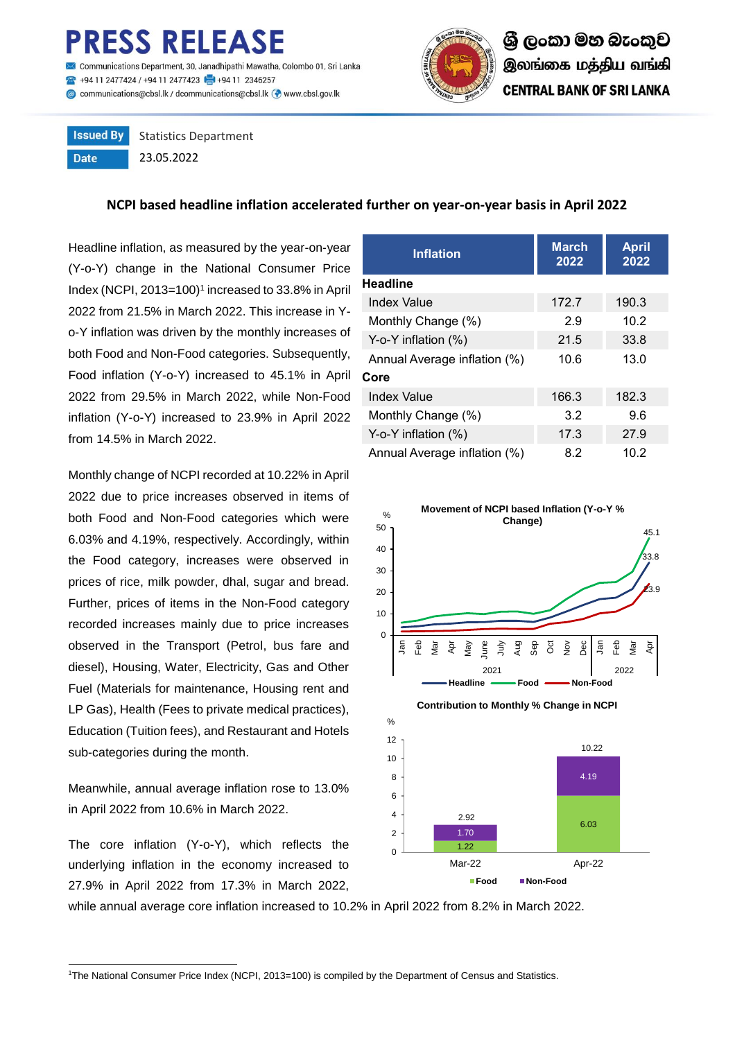## ESS RELEASE

nunications Department, 30, Janadhipathi Mawatha, Colombo 01, Sri Lanka 494 11 2477424 / +94 11 2477423 4 +94 11 2346257 Communications@cbsl.lk / dcommunications@cbsl.lk <a>
www.cbsl.gov.lk</a>
k



**Issued By** Statistics Department **Date** 23.05.2022

**NCPI based headline inflation accelerated further on year-on-year basis in April 2022**

Headline inflation, as measured by the year-on-year (Y-o-Y) change in the National Consumer Price Index (NCPI, 2013=100)<sup>1</sup> increased to 33.8% in April 2022 from 21.5% in March 2022. This increase in Yo-Y inflation was driven by the monthly increases of both Food and Non-Food categories. Subsequently, Food inflation (Y-o-Y) increased to 45.1% in April 2022 from 29.5% in March 2022, while Non-Food inflation (Y-o-Y) increased to 23.9% in April 2022 from 14.5% in March 2022.

Monthly change of NCPI recorded at 10.22% in April 2022 due to price increases observed in items of both Food and Non-Food categories which were 6.03% and 4.19%, respectively. Accordingly, within the Food category, increases were observed in prices of rice, milk powder, dhal, sugar and bread. Further, prices of items in the Non-Food category recorded increases mainly due to price increases observed in the Transport (Petrol, bus fare and diesel), Housing, Water, Electricity, Gas and Other Fuel (Materials for maintenance, Housing rent and LP Gas), Health (Fees to private medical practices), Education (Tuition fees), and Restaurant and Hotels sub-categories during the month.

Meanwhile, annual average inflation rose to 13.0% in April 2022 from 10.6% in March 2022.

The core inflation (Y-o-Y), which reflects the underlying inflation in the economy increased to 27.9% in April 2022 from 17.3% in March 2022,

| <b>Inflation</b>             | <b>March</b><br>2022 | <b>April</b><br>2022 |  |
|------------------------------|----------------------|----------------------|--|
| Headline                     |                      |                      |  |
| Index Value                  | 172.7                | 190.3                |  |
| Monthly Change (%)           | 2.9                  | 10.2                 |  |
| Y-o-Y inflation (%)          | 21.5                 | 33.8                 |  |
| Annual Average inflation (%) | 10.6                 | 13.0                 |  |
| Core                         |                      |                      |  |
| Index Value                  | 166.3                | 182.3                |  |
| Monthly Change (%)           | 3.2                  | 9.6                  |  |
| Y-o-Y inflation $(\%)$       | 17.3                 | 27.9                 |  |
| Annual Average inflation (%) | 8.2                  | 10.2                 |  |





while annual average core inflation increased to 10.2% in April 2022 from 8.2% in March 2022.

 $\Omega$ 2 4

 $\overline{a}$ <sup>1</sup>The National Consumer Price Index (NCPI, 2013=100) is compiled by the Department of Census and Statistics.